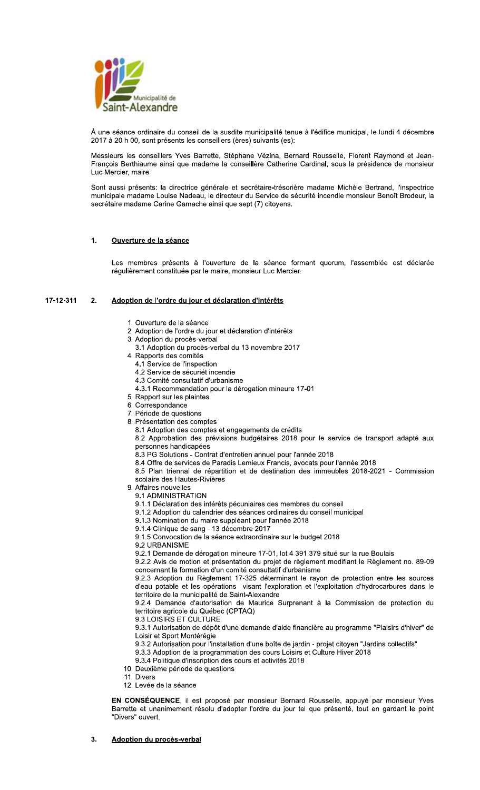

À une séance ordinaire du conseil de la susdite municipalité tenue à l'édifice municipal, le lundi 4 décembre 2017 à 20 h 00, sont présents les conseillers (ères) suivants (es):

Messieurs les conseillers Yves Barrette, Stéphane Vézina, Bernard Rousselle, Florent Raymond et Jean-François Berthiaume ainsi que madame la conseillère Catherine Cardinal, sous la présidence de monsieur Luc Mercier, maire.

Sont aussi présents: la directrice générale et secrétaire-trésorière madame Michèle Bertrand, l'inspectrice municipale madame Louise Nadeau, le directeur du Service de sécurité incendie monsieur Benoît Brodeur, la secrétaire madame Carine Gamache ainsi que sept (7) citoyens.

# $\ddot{\mathbf{1}}$ Ouverture de la séance

Les membres présents à l'ouverture de la séance formant quorum, l'assemblée est déclarée régulièrement constituée par le maire, monsieur Luc Mercier.

### 17-12-311  $2.$ Adoption de l'ordre du jour et déclaration d'intérêts

- 1. Ouverture de la séance
- 2. Adoption de l'ordre du jour et déclaration d'intérêts
- 3. Adoption du procès-verbal
- 3.1 Adoption du procès-verbal du 13 novembre 2017
- 4. Rapports des comités
	- 4.1 Service de l'inspection
	- 4.2 Service de sécuriét incendie
	- 4.3 Comité consultatif d'urbanisme
	- 4.3.1 Recommandation pour la dérogation mineure 17-01
- 5. Rapport sur les plaintes
- 6. Correspondance
- 7. Période de questions
- 8. Présentation des comptes
	- 8.1 Adoption des comptes et engagements de crédits
	- 8.2 Approbation des prévisions budgétaires 2018 pour le service de transport adapté aux personnes handicapées
	- 8.3 PG Solutions Contrat d'entretien annuel pour l'année 2018
	- 8.4 Offre de services de Paradis Lemieux Francis, avocats pour l'année 2018
	- 8.5 Plan triennal de répartition et de destination des immeubles 2018-2021 Commission scolaire des Hautes-Rivières
- 9. Affaires nouvelles
	- 9.1 ADMINISTRATION
	- 9.1.1 Déclaration des intérêts pécuniaires des membres du conseil
- 9.1.2 Adoption du calendrier des séances ordinaires du conseil municipal
- 9.1.3 Nomination du maire suppléant pour l'année 2018
- 9.1.4 Clinique de sang 13 décembre 2017
- 9.1.5 Convocation de la séance extraordinaire sur le budget 2018
- 9.2 URBANISME
- 9.2.1 Demande de dérogation mineure 17-01, lot 4 391 379 situé sur la rue Boulais

9.2.2 Avis de motion et présentation du projet de règlement modifiant le Règlement no. 89-09 concernant la formation d'un comité consultatif d'urbanisme

9.2.3 Adoption du Règlement 17-325 déterminant le rayon de protection entre les sources d'eau potable et les opérations visant l'exploration et l'exploitation d'hydrocarbures dans le territoire de la municipalité de Saint-Alexandre

9.2.4 Demande d'autorisation de Maurice Surprenant à la Commission de protection du territoire agricole du Québec (CPTAQ)

9.3 LOISIRS ET CULTURE

9.3.1 Autorisation de dépôt d'une demande d'aide financière au programme "Plaisirs d'hiver" de Loisir et Sport Montérégie

- 9.3.2 Autorisation pour l'installation d'une boîte de jardin projet citoyen "Jardins collectifs"
- 9.3.3 Adoption de la programmation des cours Loisirs et Culture Hiver 2018
- 9.3.4 Politique d'inscription des cours et activités 2018
- 10. Deuxième période de questions
- 11. Divers
- 12. Levée de la séance

EN CONSÉQUENCE, il est proposé par monsieur Bernard Rousselle, appuyé par monsieur Yves Barrette et unanimement résolu d'adopter l'ordre du jour tel que présenté, tout en gardant le point "Divers" ouvert.

# 3. **Adoption du procès-verbal**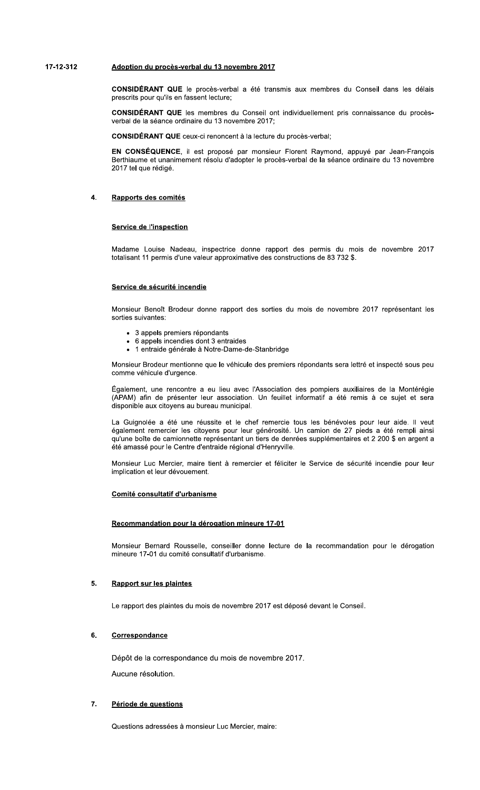# 89:8;:<8; =>?@A>B =C ?D>EFG:HIDJKL =C 8< B>HIMJDI ;N89

CONSIDERANI (

SIDERANI G

SIDERAN I <mark>Q</mark>

**Adoption du procès-verbal du 13 novembre 2017**<br> **CONSIDÉRANT QUE** le procès-verbal a été transmis aux membres du Conseil dans les délais<br>
prescrits pour qu'ils en fassent lecture;<br> **CONSIDÉRANT QUE** les membres du Conseil Adoption du procès-verbal du 13 novembre 2017<br>
CONSIDÉRANT QUE le procès-verbal a été transmis aux membres du Conseil dans les délais<br>
prescrits pour qu'ils en fassent lecture;<br>
CONSIDÉRANT QUE les membres du Conseil ont i **CONSIDÉRANT QUE** le procès-verbal a été transmis aux membres du Conseil dans<br>prescrits pour qu'ils en fassent lecture;<br>**CONSIDÉRANT QUE** les membres du Conseil ont individuellement pris connaissance (verbal de la séance o **CONSEQUENCE**, il est propose par monsieur Florent Raymond, appuye par Jean-François Berthiaume et unanimement résolu d'adopter le procès-verbal de la séance ordinaire du 13 novembre 2017 tel que rédigé.

# 4. <u>Rapports des comites</u>

# <u>de l'inspection</u>

Madame Louise Nadeau, Inspectrice donne rapport des permis du mois de novembre 2017 Service de l'inspection<br>Madame Louise Nadeau, inspectrice donne rapport des permis du mois<br>totalisant 11 permis d'une valeur approximative des constructions de 83 732 \$.

# <u>Service de securite incendie</u>

Monsieur Benoît Brodeur donne rapport des sorties du mois de novembre 2017 représentant les sorties suivantes:

- 3 appels premiers répondants
- 6 appels incendies dont 3 entraides
- 1 entraide générale à Notre-Dame-de-Stanbridge

Monsieur Brodeur mentionne que le véhicule des premiers répondants sera lettré et inspecté sous peu<br>comme véhicule d'urgence.

Également, une rencontre a eu lieu avec l'Association des pompiers auxiliaires de la Montérégie (APAM) afin de présenter leur association. Un feuillet informatif a été remis à ce sujet et sera disponible aux citoyens au bureau municipal.

La Guignolée a été une réussite et le chef remercie tous les bénévoles pour leur aide. Il veut également remercier les citoyens pour leur générosité. Un camion de 27 pieds a été rempli ainsi qu'une boîte de camionnette représentant un tiers de denrées supplémentaires et 2 200 \$ en argent a été amassé pour le Centre d'entraide régional d'Henryville.

Monsieur Luc Mercier, maire tient à remercier et féliciter le Service de sécurité incendie pour leur implication et leur dévouement.

# <u>Comite consultatif d'urbanisme</u>

# <u>pour la derogation mineure 17-01</u>

Monsieur Bernard Rousselle, conseiller donne lecture de la recommandation pour le dérogation mineure 17-01 du comité consultatif d'urbanisme.

# $5<sub>1</sub>$ <u>sur les plaintes</u>

Le rapport des plaintes du mois de novembre 2017 est déposé devant le Conseil.

# $6.$

Depot de la correspondance du mois de novembre 2017. <u>Correspondance</u><br>Dépôt de la correspo<br>Aucune résolution.

# $\overline{7}$ . <u>Període de questions</u>

Questions adressées à monsieur Luc Mercier, maire: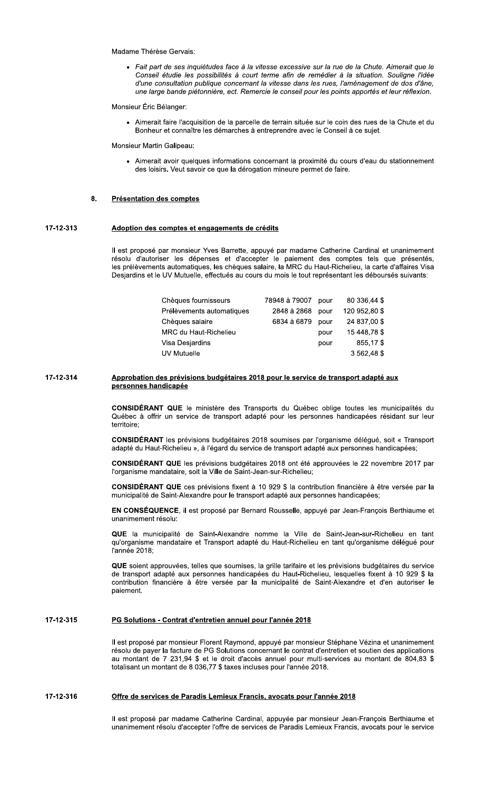# Madame Thérèse Gervais:

· Fait part de ses inquiétudes face à la vitesse excessive sur la rue de la Chute. Aimerait que le Conseil étudie les possibilités à court terme afin de remédier à la situation. Souligne l'idée d'une consultation publique concernant la vitesse dans les rues, l'aménagement de dos d'âne, une large bande piétonnière, ect. Remercie le conseil pour les points apportés et leur réflexion.

Monsieur Éric Bélanger:

• Aimerait faire l'acquisition de la parcelle de terrain située sur le coin des rues de la Chute et du Bonheur et connaître les démarches à entreprendre avec le Conseil à ce sujet.

Monsieur Martin Galipeau:

• Aimerait avoir quelques informations concernant la proximité du cours d'eau du stationnement des loisirs. Veut savoir ce que la dérogation mineure permet de faire.

# 8. Présentation des comptes

# 17-12-313 Adoption des comptes et engagements de crédits

Il est proposé par monsieur Yves Barrette, appuyé par madame Catherine Cardinal et unanimement résolu d'autoriser les dépenses et d'accepter le paiement des comptes tels que présentés,<br>les prélèvements automatiques, les chèques salaire, la MRC du Haut-Richelieu, la carte d'affaires Visa Desjardins et le UV Mutuelle, effectués au cours du mois le tout représentant les déboursés suivants:

| Chèques fournisseurs      | 78948 à 79007 | pour | 80 336,44 \$  |
|---------------------------|---------------|------|---------------|
| Prélèvements automatiques | 2848 à 2868   | pour | 120 952,80 \$ |
| Chèques salaire           | 6834 à 6879   | pour | 24 837,00 \$  |
| MRC du Haut-Richelieu     |               | pour | 15 448,78 \$  |
| Visa Desjardins           |               | pour | 855,17\$      |
| UV Mutuelle               |               |      | 3 562,48 \$   |

# 17-12-314 Approbation des prévisions budgétaires 2018 pour le service de transport adapté aux personnes handicapée

CONSIDÉRANT QUE le ministère des Transports du Québec oblige toutes les municipalités du Québec à offrir un service de transport adapté pour les personnes handicapées résidant sur leur territoire:

CONSIDÉRANT les prévisions budgétaires 2018 soumises par l'organisme délégué, soit « Transport adapté du Haut-Richelieu », à l'égard du service de transport adapté aux personnes handicapées;

CONSIDÉRANT QUE les prévisions budgétaires 2018 ont été approuvées le 22 novembre 2017 par l'organisme mandataire, soit la Ville de Saint-Jean-sur-Richelieu;

CONSIDÉRANT QUE ces prévisions fixent à 10 929 \$ la contribution financière à être versée par la municipalité de Saint-Alexandre pour le transport adapté aux personnes handicapées;

EN CONSÉQUENCE, il est proposé par Bernard Rousselle, appuyé par Jean-François Berthiaume et unanimement résolu:

QUE la municipalité de Saint-Alexandre nomme la Ville de Saint-Jean-sur-Richelieu en tant qu'organisme mandataire et Transport adapté du Haut-Richelieu en tant qu'organisme délégué pour l'année 2018:

QUE soient approuvées, telles que soumises, la grille tarifaire et les prévisions budgétaires du service de transport adapté aux personnes handicapées du Haut-Richelieu, lesquelles fixent à 10 929 \$ la contribution financière à être versée par la municipalité de Saint-Alexandre et d'en autoriser le paiement.

# 17-12-315 PG Solutions - Contrat d'entretien annuel pour l'année 2018

Il est proposé par monsieur Florent Raymond, appuyé par monsieur Stéphane Vézina et unanimement résolu de payer la facture de PG Solutions concernant le contrat d'entretien et soutien des applications au montant de 7 231,94 \$ et le droit d'accès annuel pour multi-services au montant de 804,83 \$ totalisant un montant de 8 036,77 \$ taxes incluses pour l'année 2018.

# 17-12-316 Offre de services de Paradis Lemieux Francis, avocats pour l'année 2018

Il est proposé par madame Catherine Cardinal, appuyée par monsieur Jean-François Berthiaume et unanimement résolu d'accepter l'offre de services de Paradis Lemieux Francis, avocats pour le service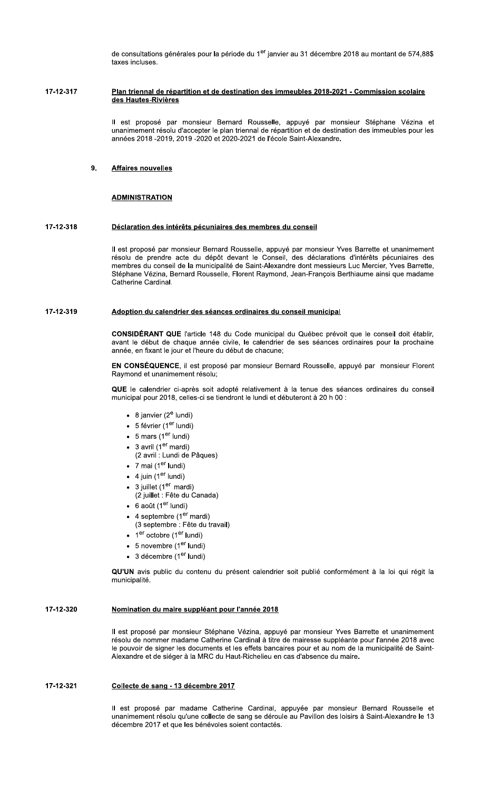de consultations générales pour la période du 1<sup>er</sup> janvier au 31 décembre 2018 au montant de 574,88\$ taxes in

# taxes incluses.<br>Plan triennal de répartition et de destination des immeubles 2018-2021 - Commission scolaire<br>des Hautes-Rivières<br>Il est proposé par monsieur Bernard Rousselle, appuyé par monsieur Stéphane Vézina et

21 - Commission scolaire<br>
21 - Commission scolaire<br>
phare Vézina et<br>
aation des immeubles pour les unanimement resolu d'accepter le plan triennal de repartition et de destination des immeubles pour les annees 2018 -2019, 2019 -2020 et 2020-2021 de l'ecole Saint-Alexan Plan triennal de repartition et de destination des immeubles 2018-2021 - Commission scolaire<br>des Hautes-Rivières<br>Il est proposé par monsieur Bernard Rousselle, appuyé par monsieur Stéphane Vézina<br>unanimement résolu d'accep

# 9. Affaires nouvelles

ADMINISTRATION<br>Déclaration des intérêts pécuniaires des membres du conseil<br>Il est proposé par monsieur Bernard Rousselle, appuyé par monsieur Yves Barrette et unanimement resolu de prendre acte du depot devant le Conseil, des declarations d'interets pecuniaires des membres du conseil de la municipalité de Saint-Alexandre dont messieurs Luc Mercier, Yves Barrette, Stephane Vezina, Bernard Rousselle, Florent Raymond, Jean-François Berthlaume ainsi que madame **Déclaration des intérêts pécuniai**<br>
Il est proposé par monsieur Bernar<br>
résolu de prendre acte du dépôt<br>
membres du conseil de la municipa<br>
Stéphane Vézina, Bernard Roussell<br>
Catherine Cardinal.<br> **Adoption du calendrier d** Catherine Cardinal. **Declaration des interets pecuniaires des membres du conseil<br>
Il est proposé par monsieur Bernard Rousselle, appuyé par mons<br>
résolu de prendre acte du dépôt devant le Conseil, des décla<br>
membres du conseil de la municipal** 

# 17-12-319 Adoption du calendrier des séances ordinaires du conseil municipal

**CONSIDERANT QUE** L'article 148 du Code municipal du Quebec prevoit que le conseil doit établir,  $a$  avant le début de chaque année civile, le calendrier de ses seances ordinaires pour la prochaine annee, en fixant le jour et l'heure du debut de chacune;

**EN CONSEQUENCE**, il est propose par monsieur Bernard Rousselle, appuye par monsieur Florent Raymond et unanimement resolu;

QUE le calendrier ci-après soit adopte relativement à la tenue des seances ordinaires du conseil municipal pour 2018, celles-ci se tiendront le lundi et debuteront à 20 n 00 :

- 8 janvier (2<sup>e</sup> lundi)
- 5 février (1<sup>er</sup> lundi)
- $5$  mars (1 $\degree$
- $3$  avril  $(1^{\circ})$  mardi)
- (2 avril : Lundi de Pâques)
- 7 mai (1<sup>er</sup> lundi)
- 4 juin (1°
- 3 juillet (1<sup>er</sup> mardi)
- (2 julilet : Fete du Canada)  $\lambda$
- 6 août (1<sup>er</sup> lundi)
- 4 septembre (1<sup>er</sup> mar
- raı) l (3 septembre : Fête du travail)
- 1<sup>er</sup> octobre (1<sup>er</sup> lundi)
- 5 novembre (1°
- 3 decembre (1°

**QU'UN** avis public du contenu du present calendrier soit publie conformement à la loi qui regit la municipalite.

Il est propose par monsieur Stephane Vezina, appuye par monsieur Yves Barrette et unanimement du contenu du présent calendrier soit publi<br> **re suppléant pour l'année 2018**<br>
nonsieur Stéphane Vézina, appuyé par mon<br>
nadame Catherine Cardinal à titre de mairess<br>
les documents et les effets bancaires pour e<br>
er à la M resolu de nommer madame Catherine Cardinal a titre de mairesse suppleante pour l'année 2018 avec le pouvoir de signer les documents et les effets bancaires pour et au nom de la municipalité de Saint-Alexandre et de sieger a la MRC du Haut-Richelleu en cas d'absence du mail Momination du maire suppleant pour l'année 2018<br>
Il est proposé par monsieur Stéphane Vézina, appuyé par monsieur Yves Bar<br>
résolu de nommer madame Catherine Cardinal à titre de mairesse suppléante p<br>
le pouvoir de signer

# 17-12-321 Collecte de sang - 13 décembre 2017

Il est propose par madame Catherine Cardinal, appuyée par monsieur Bernard Rousselle et unanimement resolu qu'une collecte de sang se deroule au Pavillon des loisirs a Saint-Alexandre le 13 decembre 2017 et que les benevoles solent contactes.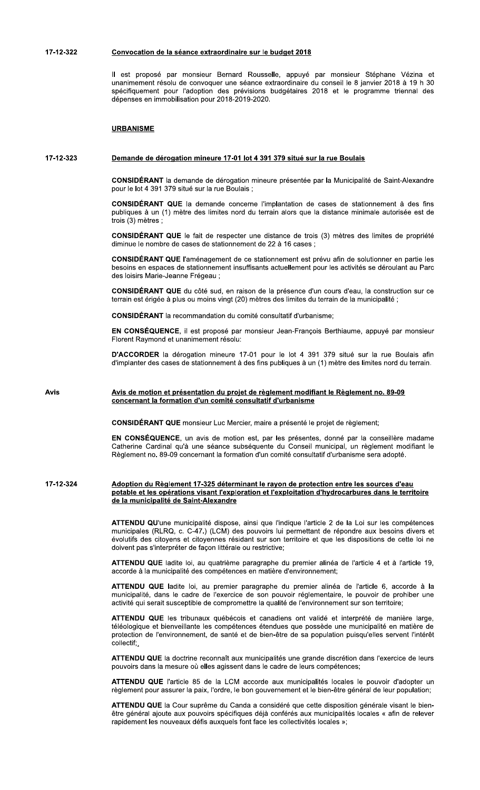ii est propose par monsieur Bernard Rousselle, appuye par monsieur Stephane Vezina et unanimement resolu de convoquer une seance extraordinaire du conseil le 8 janvier 2018 à 19 n 30  $\pm$ specifiquement pour l'adoption des previsions budgetaires 2018 et le programme triennal des raordinaire sur le budget 2018<br>Bernard Rousselle, appuyé par monsie<br>juer une séance extraordinaire du conseil le<br>i des prévisions budgétaires 2018 et le<br>ir 2018-2019-2020.<br>ure 17-01 lot 4 391 379 situé sur la rue Bou **2018**<br>puyé par monsieur Stéphane Vézina et<br>naire du conseil le 8 janvier 2018 à 19 h 30<br>aires 2018 et le programme triennal des<br>tué sur la rue Boulais depenses en immobilisation pour 2 Convocation de la seance extraordinaire sur le budget 2018<br>
Il est proposé par monsieur Bernard Rousselle, appuyé<br>
unanimement résolu de convoquer une séance extraordinaire d<br>
spécifiquement pour l'adoption des prévisions

# **URBANISME**

# 17-12-323 Demande de dérogation mineure 17-01 lot 4 391 379 situé sur la rue Boulais

**CONSIDERANT** la demande de derogation mineure presentee par la Municipalite de Saint-Alexandre pour le lot 4 391 379 situe sur la rue Boulais ;

de Continue de dérogation mineure 17-01 lot 4 391 379 situs<br>
T la demande de dérogation mineure présen<br>
1 379 situé sur la rue Boulais ;<br>
T QUE la demande concerne l'implantation<br>
(1) mètre des limites nord du terrain alor **CONSIDERANT QUE** la demande concerne l'implantation de cases de stationnement a des fins publiques a un (1) metre des limites nord du terrain alors que la distance minimale autorisée est de trois (3) metres ; **DÉRANT QUE** la demande concerne l'impliss à un (1) mètre des limites nord du terrain<br>
mètres ;<br> **DÉRANT QUE** le fait de respecter une distale nombre de cases de stationnement de 22 à<br> **DÉRANT QUE** l'aménagement de ce stat

**CONSIDERANT QUE** le fait de respecter une distance de trois  $(3)$  metres des limites de propriete  $\alpha$  annihue le nombre de cases de stationnement de 22 a 16 cases ;

**CONSIDERANT QUE** l'amenagement de ce stationnement est prevu arin de solutionner en partie les besoins en espaces de stationnement insuffisants actuellement pour les activités se deroulant au Parc des ioisirs iviarie-Jeanne Fregeau ; ues à un (1) mètre des limites nord du terra<br>3) mètres ;<br>**SIDÉRANT QUE** le fait de respecter une dis<br>ue le nombre de cases de stationnement de 2<br>**SIDÉRANT QUE** l'aménagement de ce stations<br>en espaces de stationnement insuf CONSIDÉRANT QUE le fait de re<br>diminue le nombre de cases de stat<br>CONSIDÉRANT QUE l'aménageme<br>besoins en espaces de stationneme<br>des loisirs Marie-Jeanne Frégeau ;<br>CONSIDÉRANT QUE du côté sud,<br>terrain est érigée à plus ou mo **NT QUE** le fait de respecter une distance d<br>
nbre de cases de stationnement de 22 à 16 c;<br>
NT QUE l'aménagement de ce stationnement<br>
paces de stationnement insuffisants actueller<br>
rie-Jeanne Frégeau ;<br>
NT QUE du côté sud,

**CONSIDERANT QUE** du coté sud, en raison de la présence d'un cours d'éau, la construction sur ce  $\epsilon$ errain est erigee a plus ou moins vingt (20) metres des limites du terrain de la municipalite ;

**CONSIDERANT** The recommandation du comité consultatif d'urbanisme;

**EN CONSEQUENCE**, il est propose par monsieur Jean-François Berthiaume, appuye par monsieur Florent Raymond et unanimement resolu:

**D'ACCORDER** la derogation mineure 17-01 pour le lot 4 391 379 situe sur la rue Boulais afin  $a$ 'implanter des cases de stationnement a des fins publiques a un  $(1)$  metre des limites nord du terrain.

CONSIDÉRANT QUE du côté sud, en raison<br>prrain est érigée à plus ou moins vingt (20) mé<br>CONSIDÉRANT la recommandation du comité<br>N CONSEQUENCE, il est proposé par mor<br>lorent Raymond et unanimement résolu:<br>l'ACCORDER la dérog

**CONSIDERANT QUE** monsieur Luc Mercier, maire a presente le projet de re

D'ACCORDER la deloyation immedie 17-01 pour le fot 4 391 379 situé sur la rue bodiats<br>d'implanter des cases de stationnement à des fins publiques à un (1) mètre des limites nord du terra<br>Avis de motion et présentation du p un avis de motion est, par les presentes, donne par la conseillere madame Catherine Cardinal qu'a une seance subsequente du Conseil municipal, un re nodifiant le Règlement no. 89-09<br>
isme<br>
nté le projet de règlement;<br>
issentes, donné par la conseillère madame<br>
nseil municipal, un règlement modifiant le<br>
onsultatif d'urbanisme sera adopté.<br>
protection entre les sources modifiant le no. 89-09 concernant la formation d'un comite consultatif d'urbanisme sera ac

# Avis<br>
<u>Avis de motion et présentation d'un comité consultatif d'urbanisme</u><br>
CONSIDÉRANT QUE monsieur Luc Mercier, maire a présenté le projet de règlement;<br>
EN CONSÉQUENCE, un avis de motion est, par les présentes, donné pa 17-12-324 Adoption du Règlement 17-325 déterminant le rayon de protection entre les sources d'eau potable et les opérations visant l'exploration et l'exploitation d'hydrocarbures dans le territoire de la municipalité de Saint-Alexandre

ATTENDU QU'une municipalite dispose, ainsi que l'indique l'article 2 de la Loi sur les competences municipales (RLRQ, c. C-47.) (LCM) des pouvoirs lui permettant de repondre aux besoins divers et  $e$  volutifs des citoyens et citoyennes residant sur son territoire et que les dispositions de cette loi ne dolvent pas s'interpreter de façon litterale ou restrictive; **Baint-Alexandre**<br>
icipalité dispose, ainsi que l'indique l'article<br>
C-47.) (LCM) des pouvoirs lui permettant de<br>
t citoyennes résidant sur son territoire et qu<br>
de façon littérale ou restrictive;<br>
loi, au quatrième paragr

ATTENDO QUE ladite loi, au quatrieme paragraphe du premier alinea de l'article 4 et à l'article 19, accorde a la municipalité des competences en matière d'environnement;

A **LENDU QUE** ladite loi, au premier paragraphe du premier alinea de l'article 6, accorde a la municipalite, dans le cadre de l'exercice de son pouvoir reglementaire, le pouvoir de proniber une activite qui serait susceptible de compromettre la qualité de l'environnement sur son territoire;

nicipalité dispose, ainsi que l'indique l'article C-47.) (LCM) des pouvoirs lui permettant de citoyennes résidant sur son territoire et que relaçon littérale ou restrictive;<br>loi, au quatrième paragraphe du premier alié des des pouvoirs lui permettant de répondre aux<br>
sidant sur son territoire et que les dispositions<br>
le ou restrictive;<br>
le paragraphe du premier alinéa de l'article<br>
leces en matière d'environnement;<br>
le pouvoir réglementaire, ATTENDU QUE les tribunaux quebecois et canadiens ont valide et interprete de maniere lar **ATTENDU QUE** ladite loi, au quatrième paragraphe du premier alinéa de l'article 4 et à l'article 19, accorde à la municipalité des compétences en matière d'environnement;<br> **ATTENDU QUE** ladite loi, au premier paragraphe d et bienvelliante les competences etenques que possede une municipalite en matière de protection de l'environnement, de sante et de bien-etre de sa population puisqu'elles servent l'interet collectif; cice de son pouvoir réglementaire, le pouvoir<br>
cice de son pouvoir réglementaire, le pouvoir comettre la qualité de l'environnement sur son<br>
sécois et canadiens ont validé et interprété<br>
étences étendues que possède une mu erait susceptible de compromettre la qualité d<br> **QUE** les tribunaux québécois et canadiens<br>
et bienveillante les compétences étendues<br>
e l'environnement, de santé et de bien-être<br> **QUE** la doctrine reconnaît aux municipali téléologique et bienveillante les compétences étendues que possède une municipalité en matière de<br>protection de l'environnement, de santé et de bien-être de sa population puisqu'elles servent l'intérêt<br>collectif.,<br>**ATTENDU** lante les compétences étendues que possèdement, de santé et de bien-être de sa popuriement, de santé et de bien-être de sa popuriement du santé et de bien-être de sa popuriement et de leurs compresses de la LCM accorde aux res que possède une municipalité en matièment<br>
détre de sa population puisqu'elles servent l'intés une grande discrétion dans l'exercice de<br>
der de leurs compétences;<br>
ux municipalités locales le pouvoir d'adopte<br>
nement e

ATTENDU QUE la doctrine reconnait aux municipalites une grande discretion dans l'exercice de leurs pouvoirs dans la mesure ou elles agissent dans le cadre de leurs competences;

**ATTENDU QUE** l'article 85 de la LCM accorde aux municipalites locales le pouvoir d'adopter u pour assurer la paix, l'ordre, le bon gouvernement et le bien-etre general de leur population;

ATTENDU QUE la Cour supreme du Canda a considere que cette disposition generale visant le bienune grande discrétion dans l'exercice de leur<br>de leurs compétences;<br>municipalités locales le pouvoir d'adopter u<br>nent et le bien-être général de leur population;<br>eque cette disposition générale visant le bier<br>rés aux munic etre general ajoute aux pouvoirs specifiques deja conferes aux municipalites locales « afin de relever ATTENDU QUE la doctrine<br>pouvoirs dans la mesure où<br>ATTENDU QUE l'article 8<br>règlement pour assurer la p<br>ATTENDU QUE la Cour su<br>être général ajoute aux poi<br>rapidement les nouveaux d rapidement les nouveaux defis auxquels font face les collectivites locales »;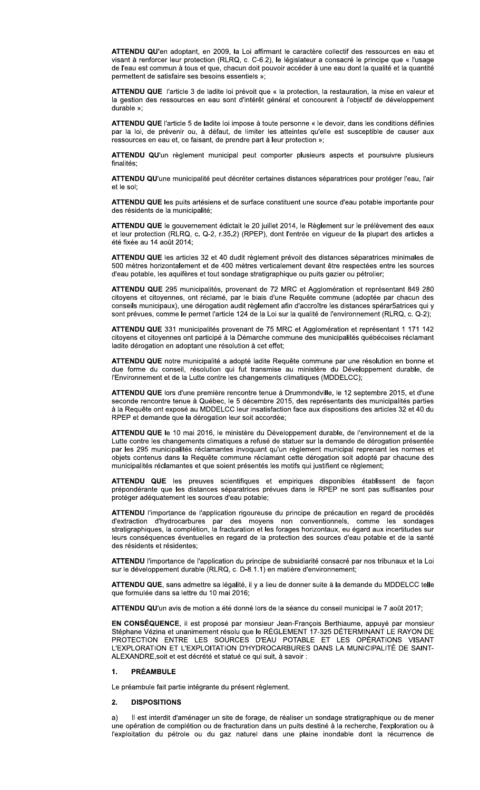ATTENDU QU'en adoptant, en 2009, la Loi affirmant le caractère collectif des ressources en eau et visant à renforcer leur protection (RLRQ, c. C-6.2), le législateur a consacré le principe que « l'usage de l'eau est commun à tous et que, chacun doit pouvoir accéder à une eau dont la qualité et la quantité permettent de satisfaire ses besoins essentiels »;

ATTENDU QUE l'article 3 de ladite loi prévoit que « la protection, la restauration, la mise en valeur et la gestion des ressources en eau sont d'intérêt général et concourent à l'objectif de développement durable »:

ATTENDU QUE l'article 5 de ladite loi impose à toute personne « le devoir, dans les conditions définies par la loi, de prévenir ou, à défaut, de limiter les atteintes qu'elle est susceptible de causer aux ressources en eau et, ce faisant, de prendre part à leur protection »;

ATTENDU QU'un règlement municipal peut comporter plusieurs aspects et poursuivre plusieurs finalités:

ATTENDU QU'une municipalité peut décréter certaines distances séparatrices pour protéger l'eau, l'air et le sol:

ATTENDU QUE les puits artésiens et de surface constituent une source d'eau potable importante pour des résidents de la municipalité:

ATTENDU QUE le gouvernement édictait le 20 juillet 2014, le Règlement sur le prélèvement des eaux et leur protection (RLRQ, c. Q-2, r.35.2) (RPEP), dont l'entrée en vigueur de la plupart des articles a été fixée au 14 août 2014:

ATTENDU QUE les articles 32 et 40 dudit règlement prévoit des distances séparatrices minimales de 500 mètres horizontalement et de 400 mètres verticalement devant être respectées entre les sources d'eau potable, les aquifères et tout sondage stratigraphique ou puits gazier ou pétrolier;

ATTENDU QUE 295 municipalités, provenant de 72 MRC et Agglomération et représentant 849 280 citoyens et citoyennes, ont réclamé, par le biais d'une Requête commune (adoptée par chacun des conseils municipaux), une dérogation audit règlement afin d'accroître les distances spérar5atrices qui y sont prévues, comme le permet l'article 124 de la Loi sur la qualité de l'environnement (RLRQ, c. Q-2);

ATTENDU QUE 331 municipalités provenant de 75 MRC et Agglomération et représentant 1 171 142 citoyens et citoyennes ont participé à la Démarche commune des municipalités québécoises réclamant ladite dérogation en adoptant une résolution à cet effet:

ATTENDU QUE notre municipalité a adopté ladite Requête commune par une résolution en bonne et due forme du conseil, résolution qui fut transmise au ministère du Développement durable, de l'Environnement et de la Lutte contre les changements climatiques (MDDELCC);

ATTENDU QUE lors d'une première rencontre tenue à Drummondville, le 12 septembre 2015, et d'une seconde rencontre tenue à Québec, le 5 décembre 2015, des représentants des municipalités parties à la Requête ont exposé au MDDELCC leur insatisfaction face aux dispositions des articles 32 et 40 du RPEP et demande que la dérogation leur soit accordée;

ATTENDU QUE le 10 mai 2016, le ministère du Développement durable, de l'environnement et de la Lutte contre les changements climatiques a refusé de statuer sur la demande de dérogation présentée par les 295 municipalités réclamantes invoquant qu'un règlement municipal reprenant les normes et objets contenus dans la Requête commune réclamant cette dérogation soit adopté par chacune des municipalités réclamantes et que soient présentés les motifs qui justifient ce règlement;

ATTENDU QUE les preuves scientifiques et empiriques disponibles établissent de façon prépondérante que les distances séparatrices prévues dans le RPEP ne sont pas suffisantes pour protéger adéquatement les sources d'eau potable;

ATTENDU l'importance de l'application rigoureuse du principe de précaution en regard de procédés d'extraction d'hydrocarbures par des moyens non conventionnels, comme les sondages stratigraphiques, la complétion, la fracturation et les forages horizontaux, eu égard aux incertitudes sur leurs conséquences éventuelles en regard de la protection des sources d'eau potable et de la santé des résidents et résidentes;

ATTENDU l'importance de l'application du principe de subsidiarité consacré par nos tribunaux et la Loi sur le développement durable (RLRQ, c. D-8.1.1) en matière d'environnement;

ATTENDU QUE, sans admettre sa légalité, il y a lieu de donner suite à la demande du MDDELCC telle que formulée dans sa lettre du 10 mai 2016;

ATTENDU QU'un avis de motion a été donné lors de la séance du conseil municipal le 7 août 2017;

EN CONSÉQUENCE, il est proposé par monsieur Jean-François Berthiaume, appuyé par monsieur Stéphane Vézina et unanimement résolu que le RÈGLEMENT 17-325 DÉTERMINANT LE RAYON DE PROTECTION ENTRE LES SOURCES D'EAU POTABLE ET LES OPÉRATIONS VISANT L'EXPLORATION ET L'EXPLOITATION D'HYDROCARBURES DANS LA MUNICIPALITÉ DE SAINT-ALEXANDRE, soit et est décrété et statué ce qui suit, à savoir :

# **PRÉAMBULE**  $\mathbf 1$

Le préambule fait partie intégrante du présent règlement.

## $2.$ **DISPOSITIONS**

Il est interdit d'aménager un site de forage, de réaliser un sondage stratigraphique ou de mener une opération de complétion ou de fracturation dans un puits destiné à la recherche, l'exploration ou à l'exploitation du pétrole ou du gaz naturel dans une plaine inondable dont la récurrence de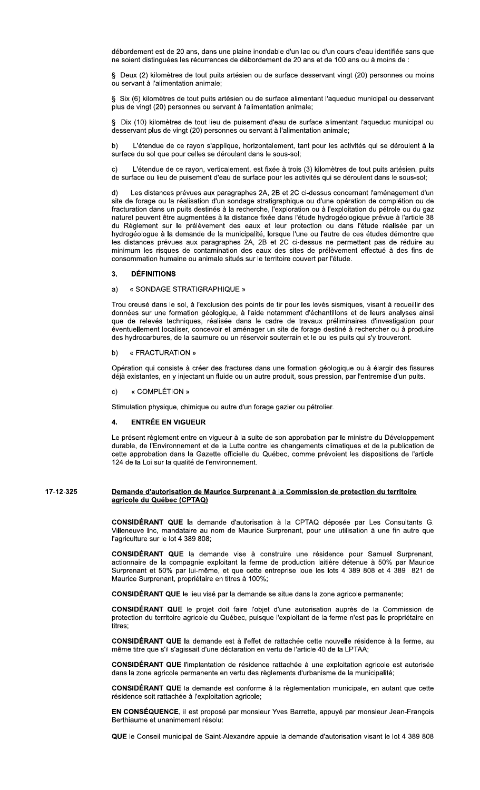débordement est de 20 ans, dans une plaine inondable d'un lac ou d'un cours d'eau identifiée sans que ne soient distinguées les récurrences de débordement de 20 ans et de 100 ans ou à moins de :

§ Deux (2) kilomètres de tout puits artésien ou de surface desservant vingt (20) personnes ou moins ou servant à l'alimentation animale:

§ Six (6) kilomètres de tout puits artésien ou de surface alimentant l'aqueduc municipal ou desservant plus de vingt (20) personnes ou servant à l'alimentation animale;

§ Dix (10) kilomètres de tout lieu de puisement d'eau de surface alimentant l'aqueduc municipal ou desservant plus de vingt (20) personnes ou servant à l'alimentation animale;

L'étendue de ce ravon s'applique, horizontalement, tant pour les activités qui se déroulent à la  $b)$ surface du sol que pour celles se déroulant dans le sous-sol:

L'étendue de ce rayon, verticalement, est fixée à trois (3) kilomètres de tout puits artésien, puits C) de surface ou lieu de puisement d'eau de surface pour les activités qui se déroulent dans le sous-sol;

Les distances prévues aux paragraphes 2A, 2B et 2C ci-dessus concernant l'aménagement d'un  $d)$ site de forage ou la réalisation d'un sondage stratigraphique ou d'une opération de complétion ou de fracturation dans un puits destinés à la recherche, l'exploration ou à l'exploitation du pétrole ou du gaz naturel peuvent être augmentées à la distance fixée dans l'étude hydrogéologique prévue à l'article 38 du Règlement sur le prélèvement des eaux et leur protection ou dans l'étude réalisée par un hydrogéologue à la demande de la municipalité, lorsque l'une ou l'autre de ces études démontre que les distances prévues aux paragraphes 2A, 2B et 2C ci-dessus ne permettent pas de réduire au minimum les risques de contamination des eaux des sites de prélèvement effectué à des fins de consommation humaine ou animale situés sur le territoire couvert par l'étude.

# **DÉFINITIONS** 3.

# « SONDAGE STRATIGRAPHIQUE »  $a)$

Trou creusé dans le sol, à l'exclusion des points de tir pour les levés sismiques, visant à recueillir des données sur une formation géologique, à l'aide notamment d'échantillons et de leurs analyses ainsi que de relevés techniques, réalisée dans le cadre de travaux préliminaires d'investigation pour éventuellement localiser, concevoir et aménager un site de forage destiné à rechercher ou à produire des hydrocarbures, de la saumure ou un réservoir souterrain et le ou les puits qui s'y trouveront.

# « FRACTURATION »

Opération qui consiste à créer des fractures dans une formation géologique ou à élargir des fissures déjà existantes, en y injectant un fluide ou un autre produit, sous pression, par l'entremise d'un puits.

# « COMPLÉTION »

Stimulation physique, chimique ou autre d'un forage gazier ou pétrolier.

# **ENTRÉE EN VIGUEUR**  $\mathbf{A}$

Le présent règlement entre en vigueur à la suite de son approbation par le ministre du Développement durable, de l'Environnement et de la Lutte contre les changements climatiques et de la publication de cette approbation dans la Gazette officielle du Québec, comme prévoient les dispositions de l'article 124 de la Loi sur la qualité de l'environnement.

# 17-12-325 Demande d'autorisation de Maurice Surprenant à la Commission de protection du territoire agricole du Québec (CPTAQ)

CONSIDÉRANT QUE la demande d'autorisation à la CPTAQ déposée par Les Consultants G. Villeneuve Inc, mandataire au nom de Maurice Surprenant, pour une utilisation à une fin autre que l'agriculture sur le lot 4 389 808:

CONSIDÉRANT QUE la demande vise à construire une résidence pour Samuel Surprenant, actionnaire de la compagnie exploitant la ferme de production laitière détenue à 50% par Maurice Surprenant et 50% par lui-même, et que cette entreprise loue les lots 4 389 808 et 4 389 821 de Maurice Surprenant, propriétaire en titres à 100%;

CONSIDÉRANT QUE le lieu visé par la demande se situe dans la zone agricole permanente;

CONSIDÉRANT QUE le projet doit faire l'objet d'une autorisation auprès de la Commission de protection du territoire agricole du Québec, puisque l'exploitant de la ferme n'est pas le propriétaire en titres:

CONSIDÉRANT QUE la demande est à l'effet de rattachée cette nouvelle résidence à la ferme, au même titre que s'il s'agissait d'une déclaration en vertu de l'article 40 de la LPTAA:

CONSIDÉRANT QUE l'implantation de résidence rattachée à une exploitation agricole est autorisée dans la zone agricole permanente en vertu des règlements d'urbanisme de la municipalité;

CONSIDÉRANT QUE la demande est conforme à la règlementation municipale, en autant que cette résidence soit rattachée à l'exploitation agricole:

EN CONSÉQUENCE, il est proposé par monsieur Yves Barrette, appuyé par monsieur Jean-François Berthiaume et unanimement résolu:

QUE le Conseil municipal de Saint-Alexandre appuie la demande d'autorisation visant le lot 4 389 808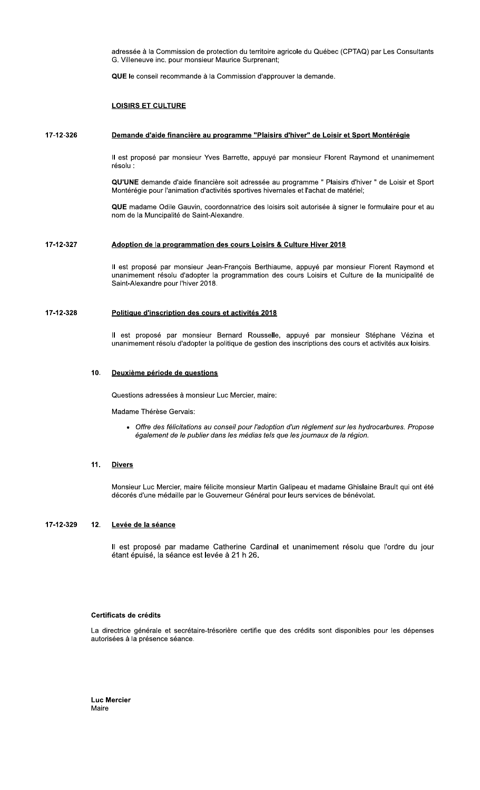adressée à la Commission de protection du territoire agricole du Québec (CPTAQ) par Les Consultants G. Villeneuve inc. pour monsieur Maurice Surprenant;

QUE le conseil recommande à la Commission d'approuver la demande.

# **LOISIRS ET CULTURE**

# 17-12-326 Demande d'aide financière au programme "Plaisirs d'hiver" de Loisir et Sport Montérégie

Il est proposé par monsieur Yves Barrette, appuyé par monsieur Florent Raymond et unanimement résolu :

QU'UNE demande d'aide financière soit adressée au programme " Plaisirs d'hiver " de Loisir et Sport Montérégie pour l'animation d'activités sportives hivernales et l'achat de matériel;

QUE madame Odile Gauvin, coordonnatrice des loisirs soit autorisée à signer le formulaire pour et au nom de la Muncipalité de Saint-Alexandre.

# 17-12-327 Adoption de la programmation des cours Loisirs & Culture Hiver 2018

Il est proposé par monsieur Jean-François Berthiaume, appuyé par monsieur Florent Raymond et unanimement résolu d'adopter la programmation des cours Loisirs et Culture de la municipalité de Saint-Alexandre pour l'hiver 2018.

# 17-12-328 Politique d'inscription des cours et activités 2018

Il est proposé par monsieur Bernard Rousselle, appuyé par monsieur Stéphane Vézina et unanimement résolu d'adopter la politique de gestion des inscriptions des cours et activités aux loisirs.

## $10<sub>1</sub>$ Deuxième période de questions

Questions adressées à monsieur Luc Mercier, maire:

Madame Thérèse Gervais:

• Offre des félicitations au conseil pour l'adoption d'un règlement sur les hydrocarbures. Propose également de le publier dans les médias tels que les journaux de la région.

# $11.$ **Divers**

Monsieur Luc Mercier, maire félicite monsieur Martin Galipeau et madame Ghislaine Brault qui ont été décorés d'une médaille par le Gouverneur Général pour leurs services de bénévolat.

### 17-12-329  $12.$ Levée de la séance

Il est proposé par madame Catherine Cardinal et unanimement résolu que l'ordre du jour étant épuisé, la séance est levée à 21 h 26.

# Certificats de crédits

La directrice générale et secrétaire-trésorière certifie que des crédits sont disponibles pour les dépenses autorisées à la présence séance.

**Luc Mercier** Maire